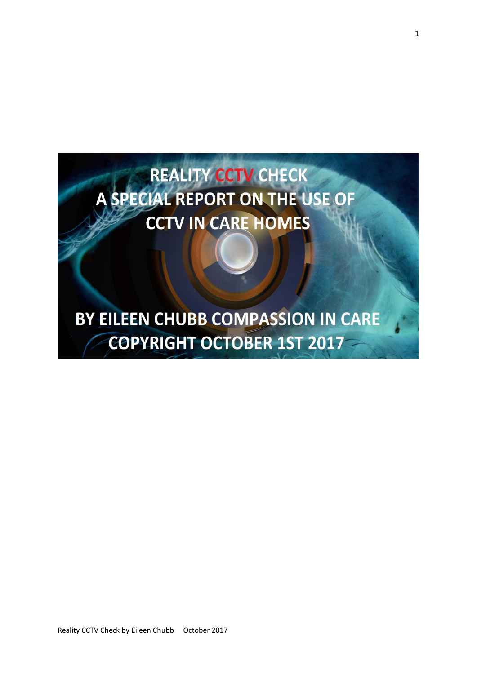

Reality CCTV Check by Eileen Chubb October 2017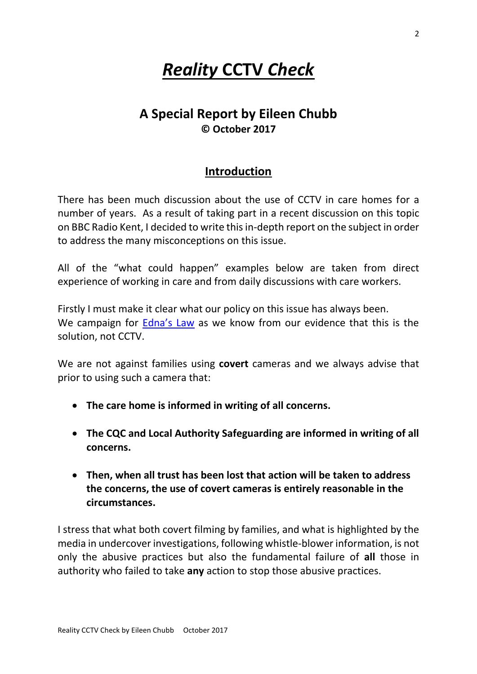# *Reality* **CCTV** *Check*

# **A Special Report by Eileen Chubb © October 2017**

# **Introduction**

There has been much discussion about the use of CCTV in care homes for a number of years. As a result of taking part in a recent discussion on this topic on BBC Radio Kent, I decided to write this in-depth report on the subject in order to address the many misconceptions on this issue.

All of the "what could happen" examples below are taken from direct experience of working in care and from daily discussions with care workers.

Firstly I must make it clear what our policy on this issue has always been. We campaign for [Edna's](https://www.change.org/p/protect-the-protectors-with-edna-s-law-need-one-law-for-all-whistleblowers) Law as we know from our evidence that this is the solution, not CCTV.

We are not against families using **covert** cameras and we always advise that prior to using such a camera that:

- **The care home is informed in writing of all concerns.**
- **The CQC and Local Authority Safeguarding are informed in writing of all concerns.**
- **Then, when all trust has been lost that action will be taken to address the concerns, the use of covert cameras is entirely reasonable in the circumstances.**

I stress that what both covert filming by families, and what is highlighted by the media in undercover investigations, following whistle-blower information, is not only the abusive practices but also the fundamental failure of **all** those in authority who failed to take **any** action to stop those abusive practices.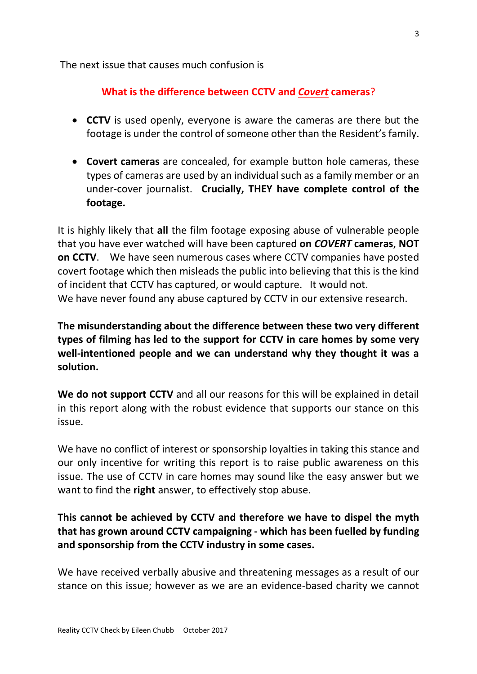The next issue that causes much confusion is

## **What is the difference between CCTV and** *Covert* **cameras**?

- **CCTV** is used openly, everyone is aware the cameras are there but the footage is under the control of someone other than the Resident's family.
- **Covert cameras** are concealed, for example button hole cameras, these types of cameras are used by an individual such as a family member or an under-cover journalist. **Crucially, THEY have complete control of the footage.**

It is highly likely that **all** the film footage exposing abuse of vulnerable people that you have ever watched will have been captured **on** *COVERT* **cameras**, **NOT on CCTV**. We have seen numerous cases where CCTV companies have posted covert footage which then misleads the public into believing that this is the kind of incident that CCTV has captured, or would capture. It would not. We have never found any abuse captured by CCTV in our extensive research.

**The misunderstanding about the difference between these two very different types of filming has led to the support for CCTV in care homes by some very well-intentioned people and we can understand why they thought it was a solution.**

**We do not support CCTV** and all our reasons for this will be explained in detail in this report along with the robust evidence that supports our stance on this issue.

We have no conflict of interest or sponsorship loyalties in taking this stance and our only incentive for writing this report is to raise public awareness on this issue. The use of CCTV in care homes may sound like the easy answer but we want to find the **right** answer, to effectively stop abuse.

# **This cannot be achieved by CCTV and therefore we have to dispel the myth that has grown around CCTV campaigning - which has been fuelled by funding and sponsorship from the CCTV industry in some cases.**

We have received verbally abusive and threatening messages as a result of our stance on this issue; however as we are an evidence-based charity we cannot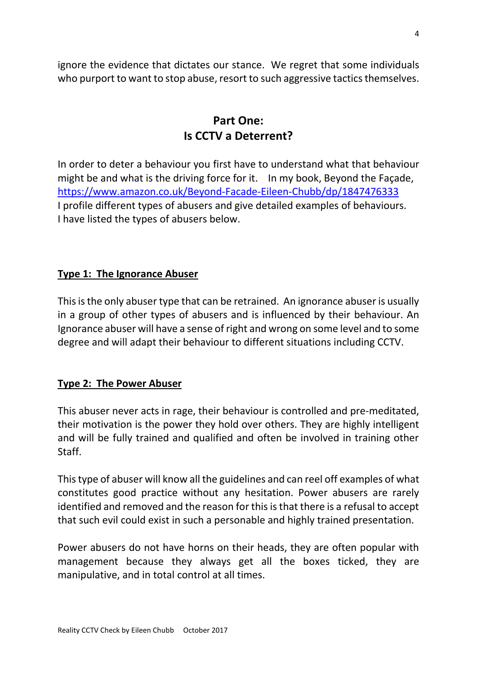ignore the evidence that dictates our stance. We regret that some individuals who purport to want to stop abuse, resort to such aggressive tactics themselves.

# **Part One: Is CCTV a Deterrent?**

In order to deter a behaviour you first have to understand what that behaviour might be and what is the driving force for it. In my book, Beyond the Façade, <https://www.amazon.co.uk/Beyond-Facade-Eileen-Chubb/dp/1847476333> I profile different types of abusers and give detailed examples of behaviours. I have listed the types of abusers below.

## **Type 1: The Ignorance Abuser**

This is the only abuser type that can be retrained. An ignorance abuser is usually in a group of other types of abusers and is influenced by their behaviour. An Ignorance abuser will have a sense of right and wrong on some level and to some degree and will adapt their behaviour to different situations including CCTV.

## **Type 2: The Power Abuser**

This abuser never acts in rage, their behaviour is controlled and pre-meditated, their motivation is the power they hold over others. They are highly intelligent and will be fully trained and qualified and often be involved in training other Staff.

This type of abuser will know all the guidelines and can reel off examples of what constitutes good practice without any hesitation. Power abusers are rarely identified and removed and the reason for this is that there is a refusal to accept that such evil could exist in such a personable and highly trained presentation.

Power abusers do not have horns on their heads, they are often popular with management because they always get all the boxes ticked, they are manipulative, and in total control at all times.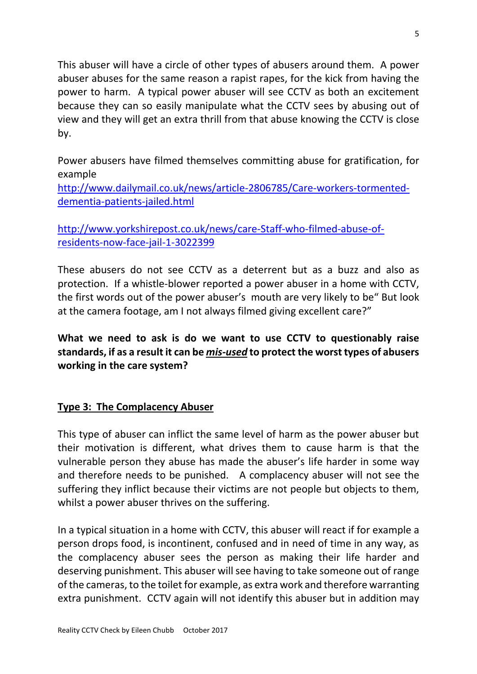This abuser will have a circle of other types of abusers around them. A power abuser abuses for the same reason a rapist rapes, for the kick from having the power to harm. A typical power abuser will see CCTV as both an excitement because they can so easily manipulate what the CCTV sees by abusing out of view and they will get an extra thrill from that abuse knowing the CCTV is close by.

Power abusers have filmed themselves committing abuse for gratification, for example

[http://www.dailymail.co.uk/news/article-2806785/Care-workers-tormented](http://www.dailymail.co.uk/news/article-2806785/Care-workers-tormented-dementia-patients-jailed.html)[dementia-patients-jailed.html](http://www.dailymail.co.uk/news/article-2806785/Care-workers-tormented-dementia-patients-jailed.html)

[http://www.yorkshirepost.co.uk/news/care-Staff-who-filmed-abuse-of](http://www.yorkshirepost.co.uk/news/care-staff-who-filmed-abuse-of-residents-now-face-jail-1-3022399)[residents-now-face-jail-1-3022399](http://www.yorkshirepost.co.uk/news/care-staff-who-filmed-abuse-of-residents-now-face-jail-1-3022399)

These abusers do not see CCTV as a deterrent but as a buzz and also as protection. If a whistle-blower reported a power abuser in a home with CCTV, the first words out of the power abuser's mouth are very likely to be" But look at the camera footage, am I not always filmed giving excellent care?"

**What we need to ask is do we want to use CCTV to questionably raise standards, if as a result it can be** *mis-used* **to protect the worst types of abusers working in the care system?**

## **Type 3: The Complacency Abuser**

This type of abuser can inflict the same level of harm as the power abuser but their motivation is different, what drives them to cause harm is that the vulnerable person they abuse has made the abuser's life harder in some way and therefore needs to be punished. A complacency abuser will not see the suffering they inflict because their victims are not people but objects to them, whilst a power abuser thrives on the suffering.

In a typical situation in a home with CCTV, this abuser will react if for example a person drops food, is incontinent, confused and in need of time in any way, as the complacency abuser sees the person as making their life harder and deserving punishment. This abuser will see having to take someone out of range of the cameras, to the toilet for example, as extra work and therefore warranting extra punishment. CCTV again will not identify this abuser but in addition may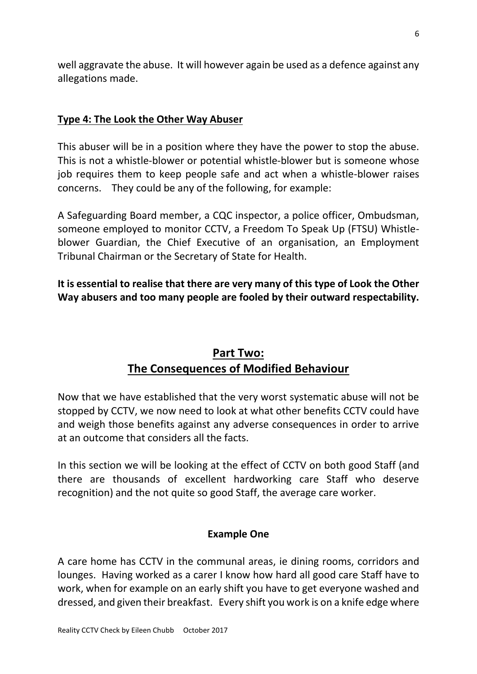well aggravate the abuse. It will however again be used as a defence against any allegations made.

## **Type 4: The Look the Other Way Abuser**

This abuser will be in a position where they have the power to stop the abuse. This is not a whistle-blower or potential whistle-blower but is someone whose job requires them to keep people safe and act when a whistle-blower raises concerns. They could be any of the following, for example:

A Safeguarding Board member, a CQC inspector, a police officer, Ombudsman, someone employed to monitor CCTV, a Freedom To Speak Up (FTSU) Whistleblower Guardian, the Chief Executive of an organisation, an Employment Tribunal Chairman or the Secretary of State for Health.

**It is essential to realise that there are very many of this type of Look the Other Way abusers and too many people are fooled by their outward respectability.**

# **Part Two: The Consequences of Modified Behaviour**

Now that we have established that the very worst systematic abuse will not be stopped by CCTV, we now need to look at what other benefits CCTV could have and weigh those benefits against any adverse consequences in order to arrive at an outcome that considers all the facts.

In this section we will be looking at the effect of CCTV on both good Staff (and there are thousands of excellent hardworking care Staff who deserve recognition) and the not quite so good Staff, the average care worker.

#### **Example One**

A care home has CCTV in the communal areas, ie dining rooms, corridors and lounges. Having worked as a carer I know how hard all good care Staff have to work, when for example on an early shift you have to get everyone washed and dressed, and given their breakfast. Every shift you work is on a knife edge where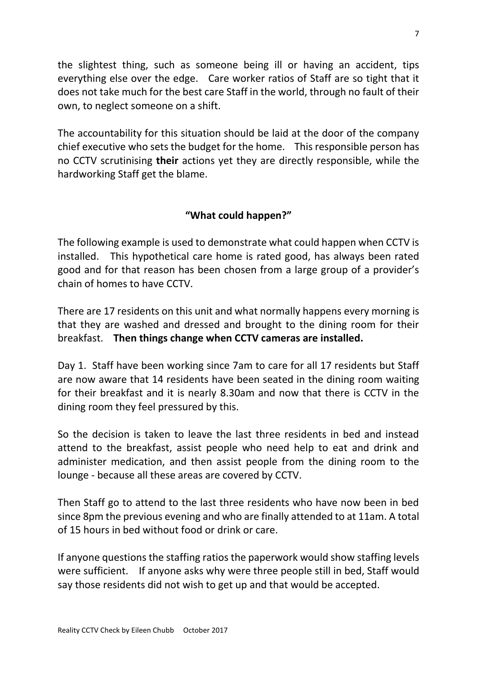the slightest thing, such as someone being ill or having an accident, tips everything else over the edge. Care worker ratios of Staff are so tight that it does not take much for the best care Staff in the world, through no fault of their own, to neglect someone on a shift.

The accountability for this situation should be laid at the door of the company chief executive who sets the budget for the home. This responsible person has no CCTV scrutinising **their** actions yet they are directly responsible, while the hardworking Staff get the blame.

## **"What could happen?"**

The following example is used to demonstrate what could happen when CCTV is installed. This hypothetical care home is rated good, has always been rated good and for that reason has been chosen from a large group of a provider's chain of homes to have CCTV.

There are 17 residents on this unit and what normally happens every morning is that they are washed and dressed and brought to the dining room for their breakfast. **Then things change when CCTV cameras are installed.**

Day 1. Staff have been working since 7am to care for all 17 residents but Staff are now aware that 14 residents have been seated in the dining room waiting for their breakfast and it is nearly 8.30am and now that there is CCTV in the dining room they feel pressured by this.

So the decision is taken to leave the last three residents in bed and instead attend to the breakfast, assist people who need help to eat and drink and administer medication, and then assist people from the dining room to the lounge - because all these areas are covered by CCTV.

Then Staff go to attend to the last three residents who have now been in bed since 8pm the previous evening and who are finally attended to at 11am. A total of 15 hours in bed without food or drink or care.

If anyone questions the staffing ratios the paperwork would show staffing levels were sufficient. If anyone asks why were three people still in bed, Staff would say those residents did not wish to get up and that would be accepted.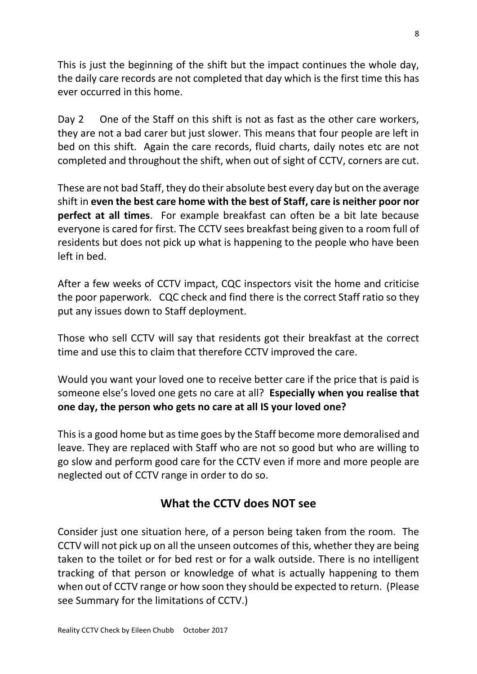This is just the beginning of the shift but the impact continues the whole day, the daily care records are not completed that day which is the first time this has ever occurred in this home.

Day 2 One of the Staff on this shift is not as fast as the other care workers, they are not a bad carer but just slower. This means that four people are left in bed on this shift. Again the care records, fluid charts, daily notes etc are not completed and throughout the shift, when out of sight of CCTV, corners are cut.

These are not bad Staff, they do their absolute best every day but on the average shift in **even the best care home with the best of Staff, care is neither poor nor perfect at all times**. For example breakfast can often be a bit late because everyone is cared for first. The CCTV sees breakfast being given to a room full of residents but does not pick up what is happening to the people who have been left in bed.

After a few weeks of CCTV impact, CQC inspectors visit the home and criticise the poor paperwork. CQC check and find there is the correct Staff ratio so they put any issues down to Staff deployment.

Those who sell CCTV will say that residents got their breakfast at the correct time and use this to claim that therefore CCTV improved the care.

Would you want your loved one to receive better care if the price that is paid is someone else's loved one gets no care at all? **Especially when you realise that one day, the person who gets no care at all IS your loved one?**

This is a good home but as time goes by the Staff become more demoralised and leave. They are replaced with Staff who are not so good but who are willing to go slow and perform good care for the CCTV even if more and more people are neglected out of CCTV range in order to do so.

# **What the CCTV does NOT see**

Consider just one situation here, of a person being taken from the room. The CCTV will not pick up on all the unseen outcomes of this, whether they are being taken to the toilet or for bed rest or for a walk outside. There is no intelligent tracking of that person or knowledge of what is actually happening to them when out of CCTV range or how soon they should be expected to return. (Please see Summary for the limitations of CCTV.)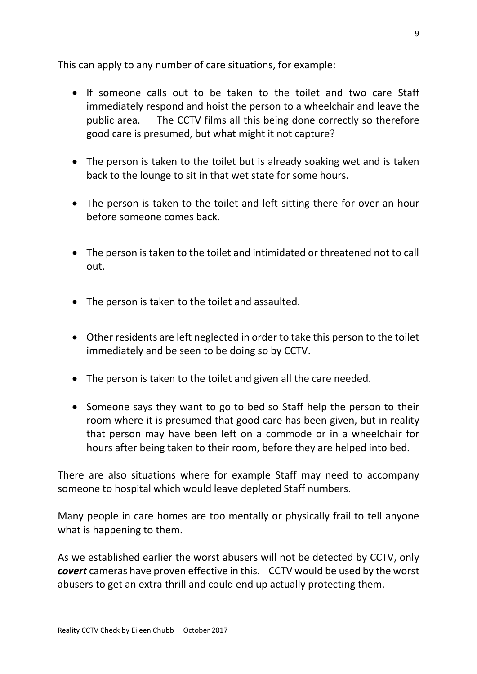This can apply to any number of care situations, for example:

- If someone calls out to be taken to the toilet and two care Staff immediately respond and hoist the person to a wheelchair and leave the public area. The CCTV films all this being done correctly so therefore good care is presumed, but what might it not capture?
- The person is taken to the toilet but is already soaking wet and is taken back to the lounge to sit in that wet state for some hours.
- The person is taken to the toilet and left sitting there for over an hour before someone comes back.
- The person is taken to the toilet and intimidated or threatened not to call out.
- The person is taken to the toilet and assaulted.
- Other residents are left neglected in order to take this person to the toilet immediately and be seen to be doing so by CCTV.
- The person is taken to the toilet and given all the care needed.
- Someone says they want to go to bed so Staff help the person to their room where it is presumed that good care has been given, but in reality that person may have been left on a commode or in a wheelchair for hours after being taken to their room, before they are helped into bed.

There are also situations where for example Staff may need to accompany someone to hospital which would leave depleted Staff numbers.

Many people in care homes are too mentally or physically frail to tell anyone what is happening to them.

As we established earlier the worst abusers will not be detected by CCTV, only *covert* cameras have proven effective in this. CCTV would be used by the worst abusers to get an extra thrill and could end up actually protecting them.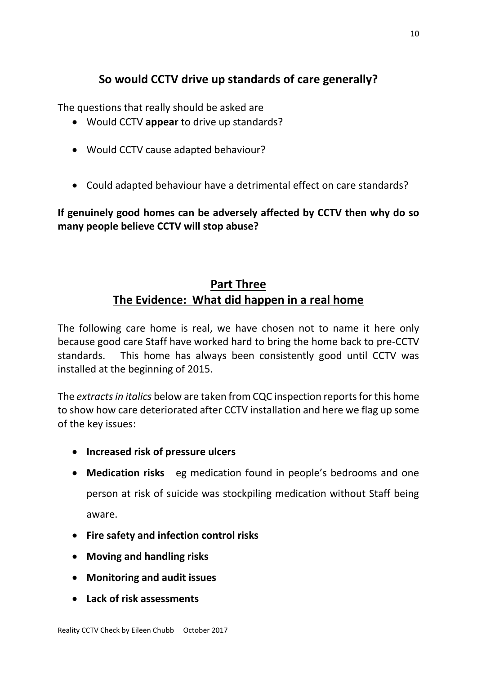# **So would CCTV drive up standards of care generally?**

The questions that really should be asked are

- Would CCTV **appear** to drive up standards?
- Would CCTV cause adapted behaviour?
- Could adapted behaviour have a detrimental effect on care standards?

**If genuinely good homes can be adversely affected by CCTV then why do so many people believe CCTV will stop abuse?**

# **Part Three The Evidence: What did happen in a real home**

The following care home is real, we have chosen not to name it here only because good care Staff have worked hard to bring the home back to pre-CCTV standards. This home has always been consistently good until CCTV was installed at the beginning of 2015.

The *extracts in italics* below are taken from CQC inspection reports for this home to show how care deteriorated after CCTV installation and here we flag up some of the key issues:

- **Increased risk of pressure ulcers**
- **Medication risks** eg medication found in people's bedrooms and one person at risk of suicide was stockpiling medication without Staff being aware.
- **Fire safety and infection control risks**
- **Moving and handling risks**
- **Monitoring and audit issues**
- **Lack of risk assessments**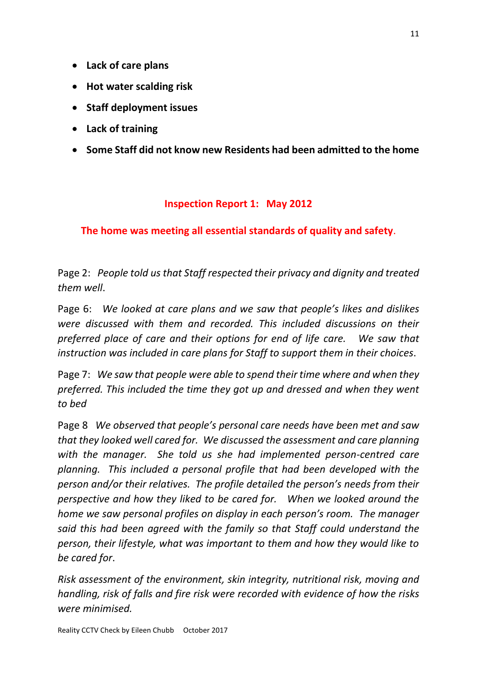- **Lack of care plans**
- **Hot water scalding risk**
- **Staff deployment issues**
- **Lack of training**
- **Some Staff did not know new Residents had been admitted to the home**

#### **Inspection Report 1: May 2012**

## **The home was meeting all essential standards of quality and safety**.

Page 2: *People told us that Staff respected their privacy and dignity and treated them well*.

Page 6: *We looked at care plans and we saw that people's likes and dislikes were discussed with them and recorded. This included discussions on their preferred place of care and their options for end of life care. We saw that instruction was included in care plans for Staff to support them in their choices*.

Page 7: *We saw that people were able to spend their time where and when they preferred. This included the time they got up and dressed and when they went to bed*

Page 8 *We observed that people's personal care needs have been met and saw that they looked well cared for. We discussed the assessment and care planning with the manager. She told us she had implemented person-centred care planning. This included a personal profile that had been developed with the person and/or their relatives. The profile detailed the person's needs from their perspective and how they liked to be cared for. When we looked around the home we saw personal profiles on display in each person's room. The manager said this had been agreed with the family so that Staff could understand the person, their lifestyle, what was important to them and how they would like to be cared for*.

*Risk assessment of the environment, skin integrity, nutritional risk, moving and handling, risk of falls and fire risk were recorded with evidence of how the risks were minimised.*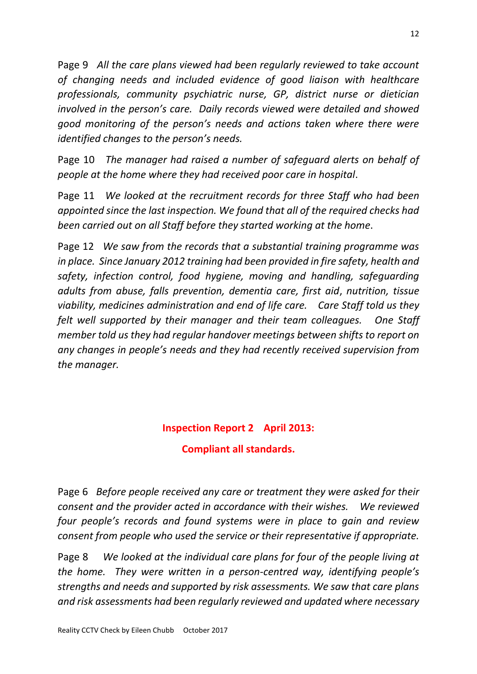Page 9 *All the care plans viewed had been regularly reviewed to take account of changing needs and included evidence of good liaison with healthcare professionals, community psychiatric nurse, GP, district nurse or dietician involved in the person's care. Daily records viewed were detailed and showed good monitoring of the person's needs and actions taken where there were identified changes to the person's needs.*

Page 10 *The manager had raised a number of safeguard alerts on behalf of people at the home where they had received poor care in hospital*.

Page 11 *We looked at the recruitment records for three Staff who had been appointed since the last inspection. We found that all of the required checks had been carried out on all Staff before they started working at the home*.

Page 12 *We saw from the records that a substantial training programme was in place. Since January 2012 training had been provided in fire safety, health and safety, infection control, food hygiene, moving and handling, safeguarding adults from abuse, falls prevention, dementia care, first aid*, *nutrition, tissue viability, medicines administration and end of life care. Care Staff told us they felt well supported by their manager and their team colleagues. One Staff member told us they had regular handover meetings between shifts to report on any changes in people's needs and they had recently received supervision from the manager.*

# **Inspection Report 2 April 2013: Compliant all standards.**

Page 6 *Before people received any care or treatment they were asked for their consent and the provider acted in accordance with their wishes. We reviewed four people's records and found systems were in place to gain and review consent from people who used the service or their representative if appropriate.*

Page 8 *We looked at the individual care plans for four of the people living at the home. They were written in a person-centred way, identifying people's strengths and needs and supported by risk assessments. We saw that care plans and risk assessments had been regularly reviewed and updated where necessary*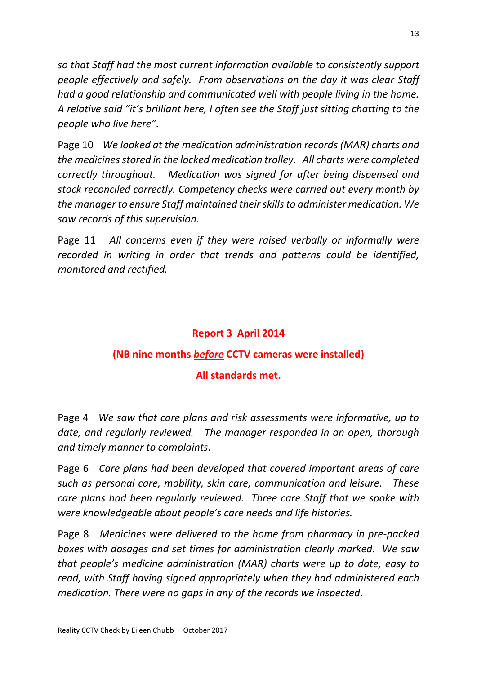*so that Staff had the most current information available to consistently support people effectively and safely. From observations on the day it was clear Staff had a good relationship and communicated well with people living in the home. A relative said "it's brilliant here, I often see the Staff just sitting chatting to the people who live here"*.

Page 10 *We looked at the medication administration records (MAR) charts and the medicines stored in the locked medication trolley. All charts were completed correctly throughout. Medication was signed for after being dispensed and stock reconciled correctly. Competency checks were carried out every month by the manager to ensure Staff maintained their skills to administer medication. We saw records of this supervision.* 

Page 11 *All concerns even if they were raised verbally or informally were recorded in writing in order that trends and patterns could be identified, monitored and rectified.*

# **Report 3 April 2014**

# **(NB nine months** *before* **CCTV cameras were installed)**

# **All standards met.**

Page 4 *We saw that care plans and risk assessments were informative, up to date, and regularly reviewed. The manager responded in an open, thorough and timely manner to complaints*.

Page 6 *Care plans had been developed that covered important areas of care such as personal care, mobility, skin care, communication and leisure. These care plans had been regularly reviewed. Three care Staff that we spoke with were knowledgeable about people's care needs and life histories.*

Page 8 *Medicines were delivered to the home from pharmacy in pre-packed boxes with dosages and set times for administration clearly marked. We saw that people's medicine administration (MAR) charts were up to date, easy to read, with Staff having signed appropriately when they had administered each medication. There were no gaps in any of the records we inspected*.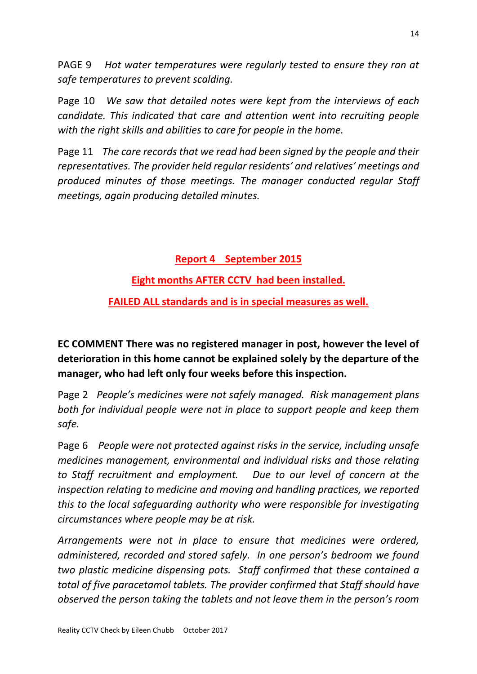PAGE 9 *Hot water temperatures were regularly tested to ensure they ran at safe temperatures to prevent scalding.*

Page 10 *We saw that detailed notes were kept from the interviews of each candidate. This indicated that care and attention went into recruiting people with the right skills and abilities to care for people in the home.*

Page 11 *The care records that we read had been signed by the people and their representatives. The provider held regular residents' and relatives' meetings and produced minutes of those meetings. The manager conducted regular Staff meetings, again producing detailed minutes.*

**Report 4 September 2015**

**Eight months AFTER CCTV had been installed.**

**FAILED ALL standards and is in special measures as well.**

**EC COMMENT There was no registered manager in post, however the level of deterioration in this home cannot be explained solely by the departure of the manager, who had left only four weeks before this inspection.**

Page 2 *People's medicines were not safely managed. Risk management plans both for individual people were not in place to support people and keep them safe.*

Page 6 *People were not protected against risks in the service, including unsafe medicines management, environmental and individual risks and those relating to Staff recruitment and employment. Due to our level of concern at the inspection relating to medicine and moving and handling practices, we reported this to the local safeguarding authority who were responsible for investigating circumstances where people may be at risk.* 

*Arrangements were not in place to ensure that medicines were ordered, administered, recorded and stored safely. In one person's bedroom we found two plastic medicine dispensing pots. Staff confirmed that these contained a total of five paracetamol tablets. The provider confirmed that Staff should have observed the person taking the tablets and not leave them in the person's room*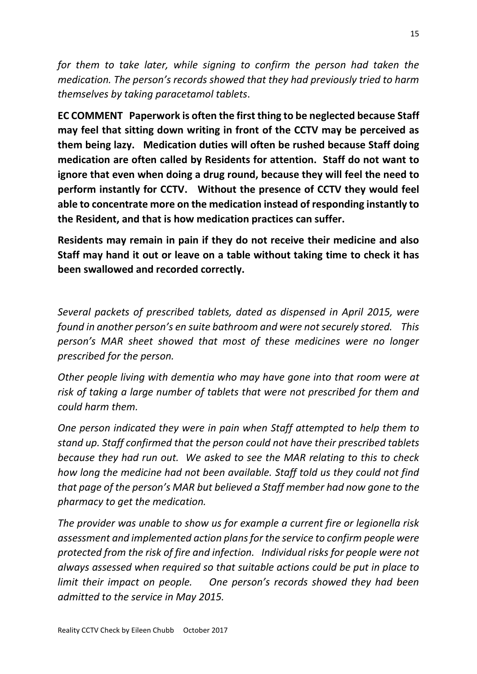*for them to take later, while signing to confirm the person had taken the medication. The person's records showed that they had previously tried to harm themselves by taking paracetamol tablets*.

**EC COMMENT Paperwork is often the first thing to be neglected because Staff may feel that sitting down writing in front of the CCTV may be perceived as them being lazy. Medication duties will often be rushed because Staff doing medication are often called by Residents for attention. Staff do not want to ignore that even when doing a drug round, because they will feel the need to perform instantly for CCTV. Without the presence of CCTV they would feel able to concentrate more on the medication instead of responding instantly to the Resident, and that is how medication practices can suffer.** 

**Residents may remain in pain if they do not receive their medicine and also Staff may hand it out or leave on a table without taking time to check it has been swallowed and recorded correctly.**

*Several packets of prescribed tablets, dated as dispensed in April 2015, were found in another person's en suite bathroom and were not securely stored. This person's MAR sheet showed that most of these medicines were no longer prescribed for the person.* 

*Other people living with dementia who may have gone into that room were at risk of taking a large number of tablets that were not prescribed for them and could harm them.* 

*One person indicated they were in pain when Staff attempted to help them to stand up. Staff confirmed that the person could not have their prescribed tablets because they had run out. We asked to see the MAR relating to this to check how long the medicine had not been available. Staff told us they could not find that page of the person's MAR but believed a Staff member had now gone to the pharmacy to get the medication.* 

*The provider was unable to show us for example a current fire or legionella risk assessment and implemented action plans for the service to confirm people were protected from the risk of fire and infection. Individual risks for people were not always assessed when required so that suitable actions could be put in place to limit their impact on people. One person's records showed they had been admitted to the service in May 2015.*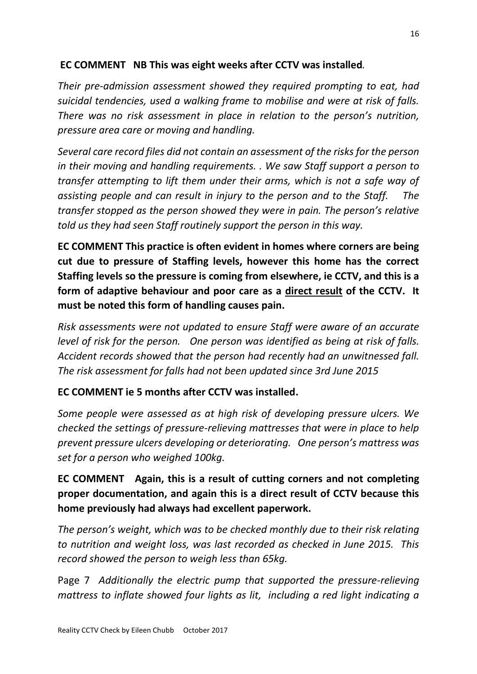# **EC COMMENT NB This was eight weeks after CCTV was installed***.*

*Their pre-admission assessment showed they required prompting to eat, had suicidal tendencies, used a walking frame to mobilise and were at risk of falls. There was no risk assessment in place in relation to the person's nutrition, pressure area care or moving and handling.* 

*Several care record files did not contain an assessment of the risks for the person in their moving and handling requirements. . We saw Staff support a person to transfer attempting to lift them under their arms, which is not a safe way of assisting people and can result in injury to the person and to the Staff. The transfer stopped as the person showed they were in pain. The person's relative told us they had seen Staff routinely support the person in this way.* 

**EC COMMENT This practice is often evident in homes where corners are being cut due to pressure of Staffing levels, however this home has the correct Staffing levels so the pressure is coming from elsewhere, ie CCTV, and this is a form of adaptive behaviour and poor care as a direct result of the CCTV. It must be noted this form of handling causes pain.** 

*Risk assessments were not updated to ensure Staff were aware of an accurate level of risk for the person. One person was identified as being at risk of falls. Accident records showed that the person had recently had an unwitnessed fall. The risk assessment for falls had not been updated since 3rd June 2015*

## **EC COMMENT ie 5 months after CCTV was installed.**

*Some people were assessed as at high risk of developing pressure ulcers. We checked the settings of pressure-relieving mattresses that were in place to help prevent pressure ulcers developing or deteriorating. One person's mattress was set for a person who weighed 100kg.* 

**EC COMMENT Again, this is a result of cutting corners and not completing proper documentation, and again this is a direct result of CCTV because this home previously had always had excellent paperwork.**

*The person's weight, which was to be checked monthly due to their risk relating to nutrition and weight loss, was last recorded as checked in June 2015. This record showed the person to weigh less than 65kg.* 

Page 7 *Additionally the electric pump that supported the pressure-relieving mattress to inflate showed four lights as lit, including a red light indicating a*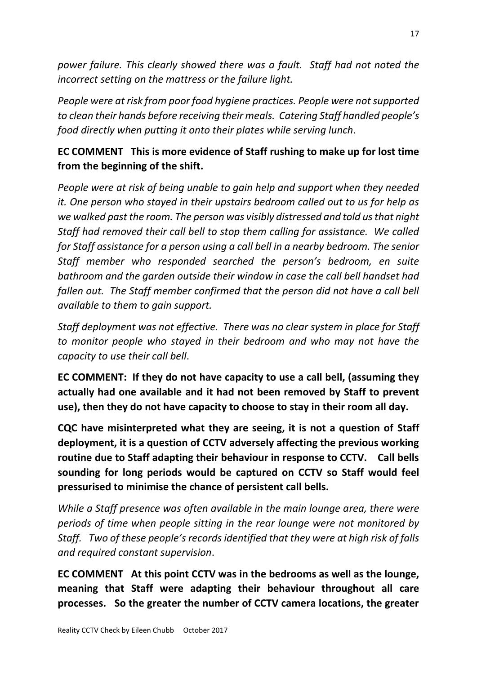*power failure. This clearly showed there was a fault. Staff had not noted the incorrect setting on the mattress or the failure light.* 

*People were at risk from poor food hygiene practices. People were not supported to clean their hands before receiving their meals. Catering Staff handled people's food directly when putting it onto their plates while serving lunch*.

# **EC COMMENT This is more evidence of Staff rushing to make up for lost time from the beginning of the shift.**

*People were at risk of being unable to gain help and support when they needed it. One person who stayed in their upstairs bedroom called out to us for help as we walked past the room. The person was visibly distressed and told us that night Staff had removed their call bell to stop them calling for assistance. We called for Staff assistance for a person using a call bell in a nearby bedroom. The senior Staff member who responded searched the person's bedroom, en suite bathroom and the garden outside their window in case the call bell handset had fallen out. The Staff member confirmed that the person did not have a call bell available to them to gain support.*

*Staff deployment was not effective. There was no clear system in place for Staff to monitor people who stayed in their bedroom and who may not have the capacity to use their call bell*.

**EC COMMENT: If they do not have capacity to use a call bell, (assuming they actually had one available and it had not been removed by Staff to prevent use), then they do not have capacity to choose to stay in their room all day.** 

**CQC have misinterpreted what they are seeing, it is not a question of Staff deployment, it is a question of CCTV adversely affecting the previous working routine due to Staff adapting their behaviour in response to CCTV. Call bells sounding for long periods would be captured on CCTV so Staff would feel pressurised to minimise the chance of persistent call bells.**

*While a Staff presence was often available in the main lounge area, there were periods of time when people sitting in the rear lounge were not monitored by Staff. Two of these people's records identified that they were at high risk of falls and required constant supervision*.

**EC COMMENT At this point CCTV was in the bedrooms as well as the lounge, meaning that Staff were adapting their behaviour throughout all care processes. So the greater the number of CCTV camera locations, the greater**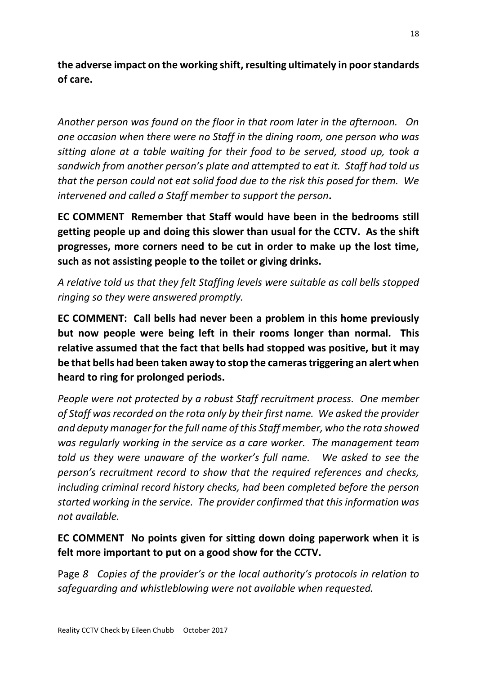**the adverse impact on the working shift, resulting ultimately in poor standards of care.**

*Another person was found on the floor in that room later in the afternoon. On one occasion when there were no Staff in the dining room, one person who was sitting alone at a table waiting for their food to be served, stood up, took a sandwich from another person's plate and attempted to eat it. Staff had told us that the person could not eat solid food due to the risk this posed for them. We intervened and called a Staff member to support the person***.** 

**EC COMMENT Remember that Staff would have been in the bedrooms still getting people up and doing this slower than usual for the CCTV. As the shift progresses, more corners need to be cut in order to make up the lost time, such as not assisting people to the toilet or giving drinks.**

*A relative told us that they felt Staffing levels were suitable as call bells stopped ringing so they were answered promptly.*

**EC COMMENT: Call bells had never been a problem in this home previously but now people were being left in their rooms longer than normal. This relative assumed that the fact that bells had stopped was positive, but it may be that bells had been taken away to stop the cameras triggering an alert when heard to ring for prolonged periods.**

*People were not protected by a robust Staff recruitment process. One member of Staff was recorded on the rota only by their first name. We asked the provider and deputy manager for the full name of this Staff member, who the rota showed was regularly working in the service as a care worker. The management team told us they were unaware of the worker's full name. We asked to see the person's recruitment record to show that the required references and checks, including criminal record history checks, had been completed before the person started working in the service. The provider confirmed that this information was not available.*

# **EC COMMENT No points given for sitting down doing paperwork when it is felt more important to put on a good show for the CCTV.**

Page *8 Copies of the provider's or the local authority's protocols in relation to safeguarding and whistleblowing were not available when requested.*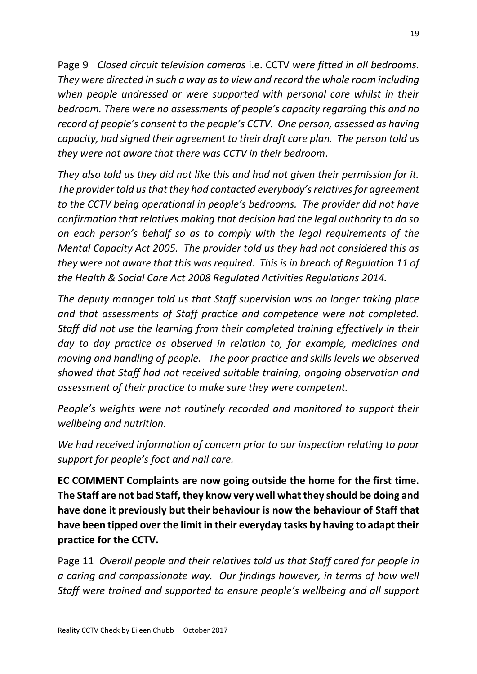Page 9 *Closed circuit television cameras* i.e. CCTV *were fitted in all bedrooms. They were directed in such a way as to view and record the whole room including when people undressed or were supported with personal care whilst in their bedroom. There were no assessments of people's capacity regarding this and no record of people's consent to the people's CCTV. One person, assessed as having capacity, had signed their agreement to their draft care plan. The person told us they were not aware that there was CCTV in their bedroom*.

*They also told us they did not like this and had not given their permission for it. The provider told us that they had contacted everybody's relatives for agreement to the CCTV being operational in people's bedrooms. The provider did not have confirmation that relatives making that decision had the legal authority to do so on each person's behalf so as to comply with the legal requirements of the Mental Capacity Act 2005. The provider told us they had not considered this as they were not aware that this was required. This is in breach of Regulation 11 of the Health & Social Care Act 2008 Regulated Activities Regulations 2014.* 

*The deputy manager told us that Staff supervision was no longer taking place and that assessments of Staff practice and competence were not completed. Staff did not use the learning from their completed training effectively in their day to day practice as observed in relation to, for example, medicines and moving and handling of people. The poor practice and skills levels we observed showed that Staff had not received suitable training, ongoing observation and assessment of their practice to make sure they were competent.* 

*People's weights were not routinely recorded and monitored to support their wellbeing and nutrition.* 

*We had received information of concern prior to our inspection relating to poor support for people's foot and nail care.*

**EC COMMENT Complaints are now going outside the home for the first time. The Staff are not bad Staff, they know very well what they should be doing and have done it previously but their behaviour is now the behaviour of Staff that have been tipped over the limit in their everyday tasks by having to adapt their practice for the CCTV.**

Page 11 *Overall people and their relatives told us that Staff cared for people in a caring and compassionate way. Our findings however, in terms of how well Staff were trained and supported to ensure people's wellbeing and all support*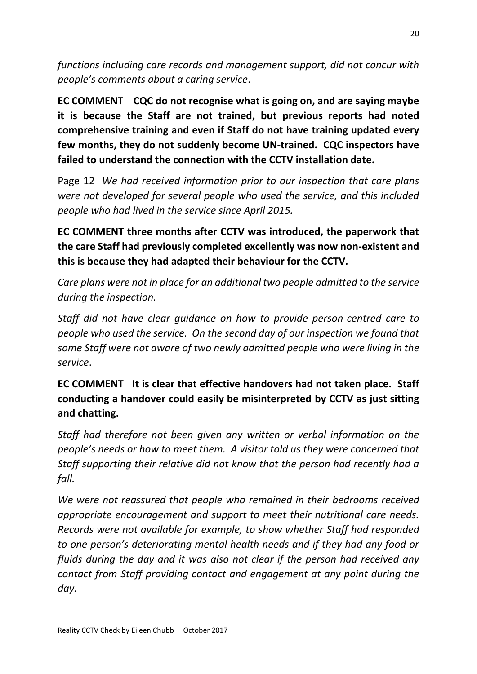*functions including care records and management support, did not concur with people's comments about a caring service*.

**EC COMMENT CQC do not recognise what is going on, and are saying maybe it is because the Staff are not trained, but previous reports had noted comprehensive training and even if Staff do not have training updated every few months, they do not suddenly become UN-trained. CQC inspectors have failed to understand the connection with the CCTV installation date.**

Page 12 *We had received information prior to our inspection that care plans were not developed for several people who used the service, and this included people who had lived in the service since April 2015.*

**EC COMMENT three months after CCTV was introduced, the paperwork that the care Staff had previously completed excellently was now non-existent and this is because they had adapted their behaviour for the CCTV.**

*Care plans were not in place for an additional two people admitted to the service during the inspection.*

*Staff did not have clear guidance on how to provide person-centred care to people who used the service. On the second day of our inspection we found that some Staff were not aware of two newly admitted people who were living in the service*.

**EC COMMENT It is clear that effective handovers had not taken place. Staff conducting a handover could easily be misinterpreted by CCTV as just sitting and chatting.**

*Staff had therefore not been given any written or verbal information on the people's needs or how to meet them. A visitor told us they were concerned that Staff supporting their relative did not know that the person had recently had a fall.* 

*We were not reassured that people who remained in their bedrooms received appropriate encouragement and support to meet their nutritional care needs. Records were not available for example, to show whether Staff had responded to one person's deteriorating mental health needs and if they had any food or fluids during the day and it was also not clear if the person had received any contact from Staff providing contact and engagement at any point during the day.*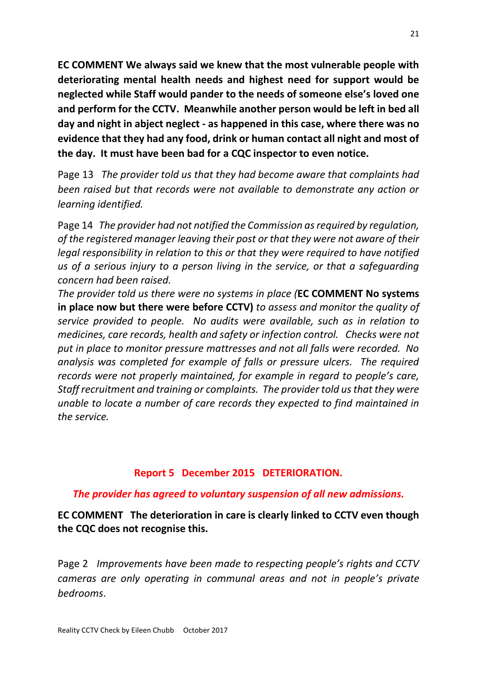**EC COMMENT We always said we knew that the most vulnerable people with deteriorating mental health needs and highest need for support would be neglected while Staff would pander to the needs of someone else's loved one and perform for the CCTV. Meanwhile another person would be left in bed all day and night in abject neglect - as happened in this case, where there was no evidence that they had any food, drink or human contact all night and most of the day. It must have been bad for a CQC inspector to even notice.**

Page 13 *The provider told us that they had become aware that complaints had been raised but that records were not available to demonstrate any action or learning identified.* 

Page 14 *The provider had not notified the Commission as required by regulation, of the registered manager leaving their post or that they were not aware of their legal responsibility in relation to this or that they were required to have notified us of a serious injury to a person living in the service, or that a safeguarding concern had been raised.* 

*The provider told us there were no systems in place (***EC COMMENT No systems in place now but there were before CCTV)** *to assess and monitor the quality of service provided to people. No audits were available, such as in relation to medicines, care records, health and safety or infection control. Checks were not put in place to monitor pressure mattresses and not all falls were recorded. No analysis was completed for example of falls or pressure ulcers. The required records were not properly maintained, for example in regard to people's care, Staff recruitment and training or complaints. The provider told us that they were unable to locate a number of care records they expected to find maintained in the service.* 

## **Report 5 December 2015 DETERIORATION.**

## *The provider has agreed to voluntary suspension of all new admissions.*

**EC COMMENT The deterioration in care is clearly linked to CCTV even though the CQC does not recognise this.**

Page 2 *Improvements have been made to respecting people's rights and CCTV cameras are only operating in communal areas and not in people's private bedrooms*.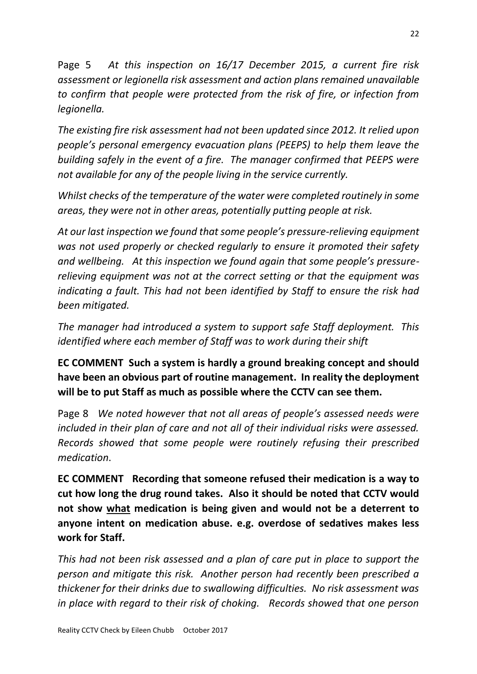Page 5 *At this inspection on 16/17 December 2015, a current fire risk assessment or legionella risk assessment and action plans remained unavailable to confirm that people were protected from the risk of fire, or infection from legionella.* 

*The existing fire risk assessment had not been updated since 2012. It relied upon people's personal emergency evacuation plans (PEEPS) to help them leave the building safely in the event of a fire. The manager confirmed that PEEPS were not available for any of the people living in the service currently.*

*Whilst checks of the temperature of the water were completed routinely in some areas, they were not in other areas, potentially putting people at risk.* 

*At our last inspection we found that some people's pressure-relieving equipment was not used properly or checked regularly to ensure it promoted their safety and wellbeing. At this inspection we found again that some people's pressurerelieving equipment was not at the correct setting or that the equipment was indicating a fault. This had not been identified by Staff to ensure the risk had been mitigated.* 

*The manager had introduced a system to support safe Staff deployment. This identified where each member of Staff was to work during their shift*

**EC COMMENT Such a system is hardly a ground breaking concept and should have been an obvious part of routine management. In reality the deployment will be to put Staff as much as possible where the CCTV can see them.**

Page 8 *We noted however that not all areas of people's assessed needs were included in their plan of care and not all of their individual risks were assessed. Records showed that some people were routinely refusing their prescribed medication*.

**EC COMMENT Recording that someone refused their medication is a way to cut how long the drug round takes. Also it should be noted that CCTV would not show what medication is being given and would not be a deterrent to anyone intent on medication abuse. e.g. overdose of sedatives makes less work for Staff.** 

*This had not been risk assessed and a plan of care put in place to support the person and mitigate this risk. Another person had recently been prescribed a thickener for their drinks due to swallowing difficulties. No risk assessment was in place with regard to their risk of choking. Records showed that one person*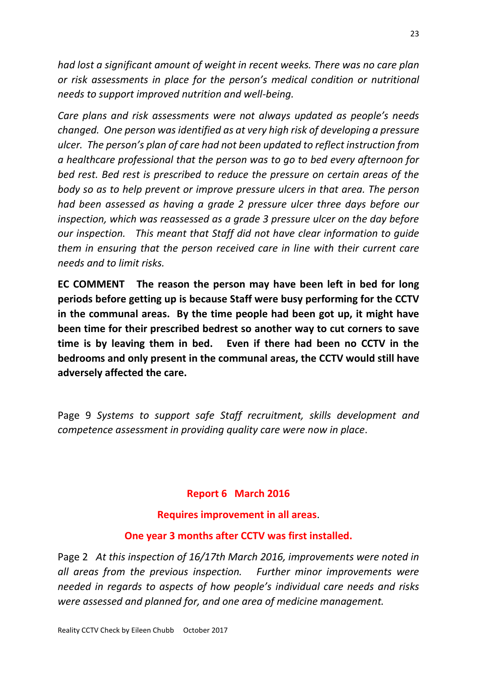*had lost a significant amount of weight in recent weeks. There was no care plan or risk assessments in place for the person's medical condition or nutritional needs to support improved nutrition and well-being.* 

*Care plans and risk assessments were not always updated as people's needs changed. One person was identified as at very high risk of developing a pressure ulcer. The person's plan of care had not been updated to reflect instruction from a healthcare professional that the person was to go to bed every afternoon for bed rest. Bed rest is prescribed to reduce the pressure on certain areas of the body so as to help prevent or improve pressure ulcers in that area. The person had been assessed as having a grade 2 pressure ulcer three days before our inspection, which was reassessed as a grade 3 pressure ulcer on the day before our inspection. This meant that Staff did not have clear information to guide them in ensuring that the person received care in line with their current care needs and to limit risks.* 

**EC COMMENT The reason the person may have been left in bed for long periods before getting up is because Staff were busy performing for the CCTV in the communal areas. By the time people had been got up, it might have been time for their prescribed bedrest so another way to cut corners to save time is by leaving them in bed. Even if there had been no CCTV in the bedrooms and only present in the communal areas, the CCTV would still have adversely affected the care.**

Page 9 *Systems to support safe Staff recruitment, skills development and competence assessment in providing quality care were now in place*.

## **Report 6 March 2016**

#### **Requires improvement in all areas**.

## **One year 3 months after CCTV was first installed.**

Page 2 *At this inspection of 16/17th March 2016, improvements were noted in all areas from the previous inspection. Further minor improvements were needed in regards to aspects of how people's individual care needs and risks were assessed and planned for, and one area of medicine management.*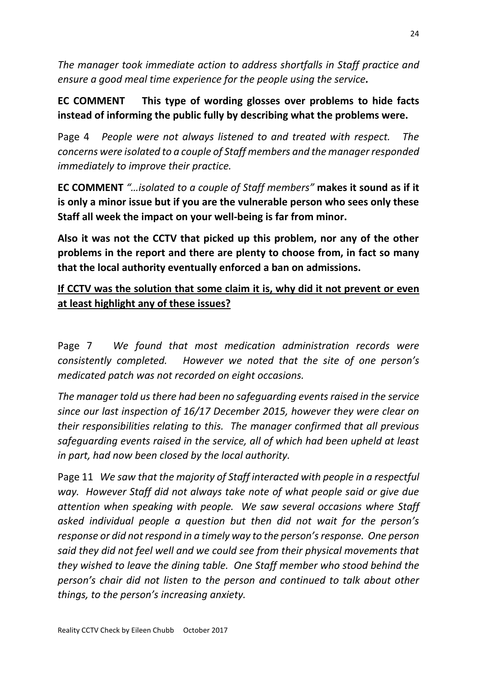*The manager took immediate action to address shortfalls in Staff practice and ensure a good meal time experience for the people using the service.* 

**EC COMMENT This type of wording glosses over problems to hide facts instead of informing the public fully by describing what the problems were.**

Page 4 *People were not always listened to and treated with respect. The concerns were isolated to a couple of Staff members and the manager responded immediately to improve their practice.*

**EC COMMENT** *"…isolated to a couple of Staff members"* **makes it sound as if it is only a minor issue but if you are the vulnerable person who sees only these Staff all week the impact on your well-being is far from minor.** 

**Also it was not the CCTV that picked up this problem, nor any of the other problems in the report and there are plenty to choose from, in fact so many that the local authority eventually enforced a ban on admissions.** 

**If CCTV was the solution that some claim it is, why did it not prevent or even at least highlight any of these issues?** 

Page 7 *We found that most medication administration records were consistently completed. However we noted that the site of one person's medicated patch was not recorded on eight occasions.*

*The manager told us there had been no safeguarding events raised in the service since our last inspection of 16/17 December 2015, however they were clear on their responsibilities relating to this. The manager confirmed that all previous safeguarding events raised in the service, all of which had been upheld at least in part, had now been closed by the local authority.*

Page 11 *We saw that the majority of Staff interacted with people in a respectful way. However Staff did not always take note of what people said or give due attention when speaking with people. We saw several occasions where Staff asked individual people a question but then did not wait for the person's response or did not respond in a timely way to the person's response. One person said they did not feel well and we could see from their physical movements that they wished to leave the dining table. One Staff member who stood behind the person's chair did not listen to the person and continued to talk about other things, to the person's increasing anxiety.*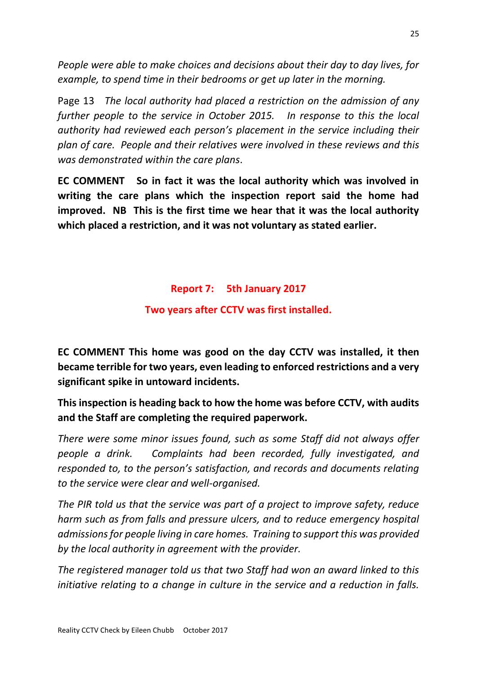*People were able to make choices and decisions about their day to day lives, for example, to spend time in their bedrooms or get up later in the morning.* 

Page 13 *The local authority had placed a restriction on the admission of any further people to the service in October 2015. In response to this the local authority had reviewed each person's placement in the service including their plan of care. People and their relatives were involved in these reviews and this was demonstrated within the care plans*.

**EC COMMENT So in fact it was the local authority which was involved in writing the care plans which the inspection report said the home had improved. NB This is the first time we hear that it was the local authority which placed a restriction, and it was not voluntary as stated earlier.** 

# **Report 7: 5th January 2017**

## **Two years after CCTV was first installed.**

**EC COMMENT This home was good on the day CCTV was installed, it then became terrible for two years, even leading to enforced restrictions and a very significant spike in untoward incidents.** 

**This inspection is heading back to how the home was before CCTV, with audits and the Staff are completing the required paperwork.**

*There were some minor issues found, such as some Staff did not always offer people a drink. Complaints had been recorded, fully investigated, and responded to, to the person's satisfaction, and records and documents relating to the service were clear and well-organised.*

*The PIR told us that the service was part of a project to improve safety, reduce harm such as from falls and pressure ulcers, and to reduce emergency hospital admissions for people living in care homes. Training to support this was provided by the local authority in agreement with the provider.*

*The registered manager told us that two Staff had won an award linked to this initiative relating to a change in culture in the service and a reduction in falls.*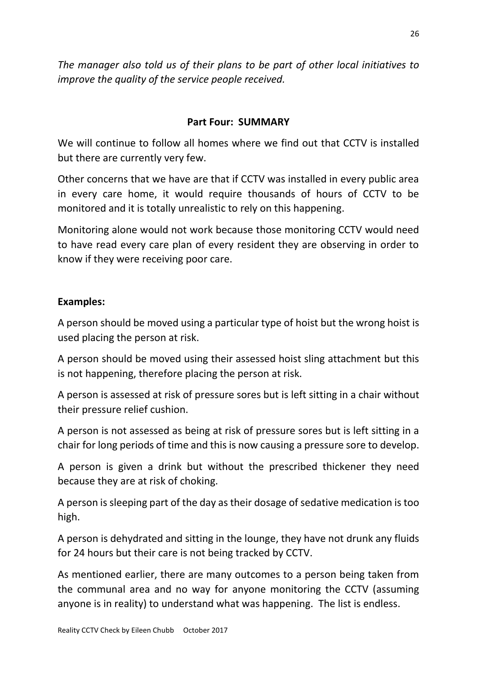*The manager also told us of their plans to be part of other local initiatives to improve the quality of the service people received.*

#### **Part Four: SUMMARY**

We will continue to follow all homes where we find out that CCTV is installed but there are currently very few.

Other concerns that we have are that if CCTV was installed in every public area in every care home, it would require thousands of hours of CCTV to be monitored and it is totally unrealistic to rely on this happening.

Monitoring alone would not work because those monitoring CCTV would need to have read every care plan of every resident they are observing in order to know if they were receiving poor care.

#### **Examples:**

A person should be moved using a particular type of hoist but the wrong hoist is used placing the person at risk.

A person should be moved using their assessed hoist sling attachment but this is not happening, therefore placing the person at risk.

A person is assessed at risk of pressure sores but is left sitting in a chair without their pressure relief cushion.

A person is not assessed as being at risk of pressure sores but is left sitting in a chair for long periods of time and this is now causing a pressure sore to develop.

A person is given a drink but without the prescribed thickener they need because they are at risk of choking.

A person is sleeping part of the day as their dosage of sedative medication is too high.

A person is dehydrated and sitting in the lounge, they have not drunk any fluids for 24 hours but their care is not being tracked by CCTV.

As mentioned earlier, there are many outcomes to a person being taken from the communal area and no way for anyone monitoring the CCTV (assuming anyone is in reality) to understand what was happening. The list is endless.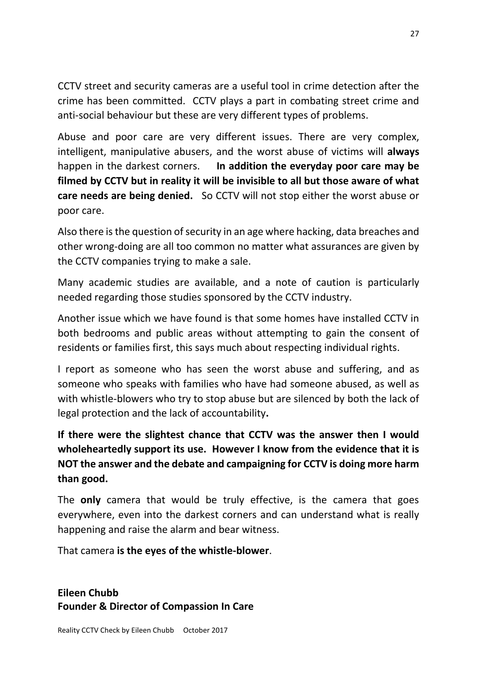CCTV street and security cameras are a useful tool in crime detection after the crime has been committed. CCTV plays a part in combating street crime and anti-social behaviour but these are very different types of problems.

Abuse and poor care are very different issues. There are very complex, intelligent, manipulative abusers, and the worst abuse of victims will **always**  happen in the darkest corners. **In addition the everyday poor care may be filmed by CCTV but in reality it will be invisible to all but those aware of what care needs are being denied.** So CCTV will not stop either the worst abuse or poor care.

Also there is the question of security in an age where hacking, data breaches and other wrong-doing are all too common no matter what assurances are given by the CCTV companies trying to make a sale.

Many academic studies are available, and a note of caution is particularly needed regarding those studies sponsored by the CCTV industry.

Another issue which we have found is that some homes have installed CCTV in both bedrooms and public areas without attempting to gain the consent of residents or families first, this says much about respecting individual rights.

I report as someone who has seen the worst abuse and suffering, and as someone who speaks with families who have had someone abused, as well as with whistle-blowers who try to stop abuse but are silenced by both the lack of legal protection and the lack of accountability**.**

**If there were the slightest chance that CCTV was the answer then I would wholeheartedly support its use. However I know from the evidence that it is NOT the answer and the debate and campaigning for CCTV is doing more harm than good.** 

The **only** camera that would be truly effective, is the camera that goes everywhere, even into the darkest corners and can understand what is really happening and raise the alarm and bear witness.

That camera **is the eyes of the whistle-blower**.

**Eileen Chubb Founder & Director of Compassion In Care**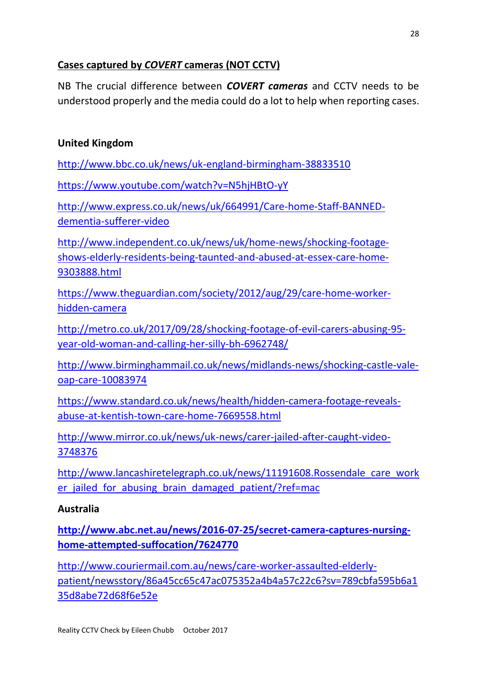# **Cases captured by** *COVERT* **cameras (NOT CCTV)**

NB The crucial difference between *COVERT cameras* and CCTV needs to be understood properly and the media could do a lot to help when reporting cases.

# **United Kingdom**

<http://www.bbc.co.uk/news/uk-england-birmingham-38833510>

<https://www.youtube.com/watch?v=N5hjHBtO-yY>

[http://www.express.co.uk/news/uk/664991/Care-home-Staff-BANNED](http://www.express.co.uk/news/uk/664991/Care-home-staff-BANNED-dementia-sufferer-video)[dementia-sufferer-video](http://www.express.co.uk/news/uk/664991/Care-home-staff-BANNED-dementia-sufferer-video)

[http://www.independent.co.uk/news/uk/home-news/shocking-footage](http://www.independent.co.uk/news/uk/home-news/shocking-footage-shows-elderly-residents-being-taunted-and-abused-at-essex-care-home-9303888.html)[shows-elderly-residents-being-taunted-and-abused-at-essex-care-home-](http://www.independent.co.uk/news/uk/home-news/shocking-footage-shows-elderly-residents-being-taunted-and-abused-at-essex-care-home-9303888.html)[9303888.html](http://www.independent.co.uk/news/uk/home-news/shocking-footage-shows-elderly-residents-being-taunted-and-abused-at-essex-care-home-9303888.html)

[https://www.theguardian.com/society/2012/aug/29/care-home-worker](https://www.theguardian.com/society/2012/aug/29/care-home-worker-hidden-camera)[hidden-camera](https://www.theguardian.com/society/2012/aug/29/care-home-worker-hidden-camera)

[http://metro.co.uk/2017/09/28/shocking-footage-of-evil-carers-abusing-95](http://metro.co.uk/2017/09/28/shocking-footage-of-evil-carers-abusing-95-year-old-woman-and-calling-her-silly-bh-6962748/) [year-old-woman-and-calling-her-silly-bh-6962748/](http://metro.co.uk/2017/09/28/shocking-footage-of-evil-carers-abusing-95-year-old-woman-and-calling-her-silly-bh-6962748/)

[http://www.birminghammail.co.uk/news/midlands-news/shocking-castle-vale](http://www.birminghammail.co.uk/news/midlands-news/shocking-castle-vale-oap-care-10083974)[oap-care-10083974](http://www.birminghammail.co.uk/news/midlands-news/shocking-castle-vale-oap-care-10083974)

[https://www.standard.co.uk/news/health/hidden-camera-footage-reveals](https://www.standard.co.uk/news/health/hidden-camera-footage-reveals-abuse-at-kentish-town-care-home-7669558.html)[abuse-at-kentish-town-care-home-7669558.html](https://www.standard.co.uk/news/health/hidden-camera-footage-reveals-abuse-at-kentish-town-care-home-7669558.html)

[http://www.mirror.co.uk/news/uk-news/carer-jailed-after-caught-video-](http://www.mirror.co.uk/news/uk-news/carer-jailed-after-caught-video-3748376)[3748376](http://www.mirror.co.uk/news/uk-news/carer-jailed-after-caught-video-3748376)

[http://www.lancashiretelegraph.co.uk/news/11191608.Rossendale\\_care\\_work](http://www.lancashiretelegraph.co.uk/news/11191608.Rossendale_care_worker_jailed_for_abusing_brain_damaged_patient/?ref=mac) er jailed for abusing brain damaged patient/?ref=mac

## **Australia**

**[http://www.abc.net.au/news/2016-07-25/secret-camera-captures-nursing](http://www.abc.net.au/news/2016-07-25/secret-camera-captures-nursing-home-attempted-suffocation/7624770)[home-attempted-suffocation/7624770](http://www.abc.net.au/news/2016-07-25/secret-camera-captures-nursing-home-attempted-suffocation/7624770)**

[http://www.couriermail.com.au/news/care-worker-assaulted-elderly](http://www.couriermail.com.au/news/care-worker-assaulted-elderly-patient/newsstory/86a45cc65c47ac075352a4b4a57c22c6?sv=789cbfa595b6a135d8abe72d68f6e52e)[patient/newsstory/86a45cc65c47ac075352a4b4a57c22c6?sv=789cbfa595b6a1](http://www.couriermail.com.au/news/care-worker-assaulted-elderly-patient/newsstory/86a45cc65c47ac075352a4b4a57c22c6?sv=789cbfa595b6a135d8abe72d68f6e52e) [35d8abe72d68f6e52e](http://www.couriermail.com.au/news/care-worker-assaulted-elderly-patient/newsstory/86a45cc65c47ac075352a4b4a57c22c6?sv=789cbfa595b6a135d8abe72d68f6e52e)